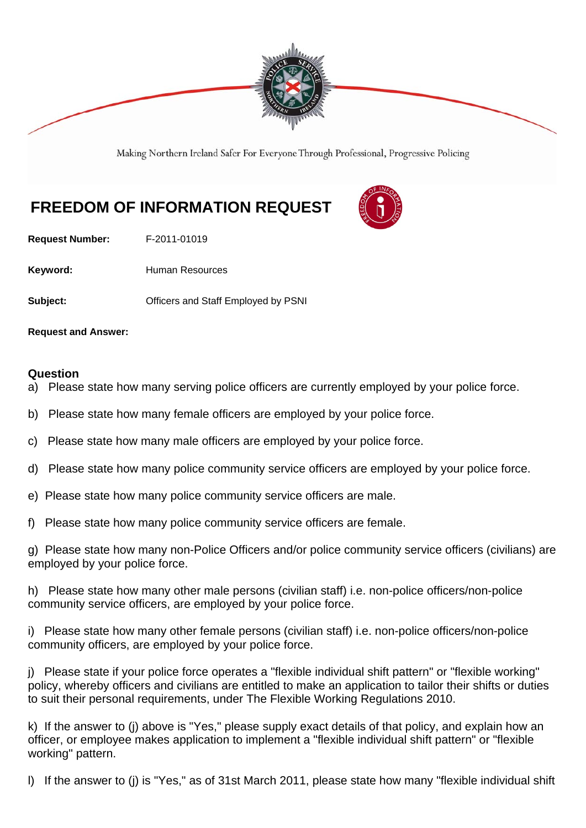

Making Northern Ireland Safer For Everyone Through Professional, Progressive Policing

## **FREEDOM OF INFORMATION REQUEST**

**Request Number:** F-2011-01019

Keyword: **Human Resources** 

**Subject: Conservery Conserversity Conserversity Conserversity Conservation Subject:**  $\bullet$ 

**Request and Answer:** 

## **Question**

- a) Please state how many serving police officers are currently employed by your police force.
- b) Please state how many female officers are employed by your police force.
- c) Please state how many male officers are employed by your police force.
- d) Please state how many police community service officers are employed by your police force.
- e) Please state how many police community service officers are male.
- f) Please state how many police community service officers are female.

g) Please state how many non-Police Officers and/or police community service officers (civilians) are employed by your police force.

h) Please state how many other male persons (civilian staff) i.e. non-police officers/non-police community service officers, are employed by your police force.

i) Please state how many other female persons (civilian staff) i.e. non-police officers/non-police community officers, are employed by your police force.

j) Please state if your police force operates a "flexible individual shift pattern" or "flexible working" policy, whereby officers and civilians are entitled to make an application to tailor their shifts or duties to suit their personal requirements, under The Flexible Working Regulations 2010.

k) If the answer to (j) above is "Yes," please supply exact details of that policy, and explain how an officer, or employee makes application to implement a "flexible individual shift pattern" or "flexible working" pattern.

l) If the answer to (j) is "Yes," as of 31st March 2011, please state how many "flexible individual shift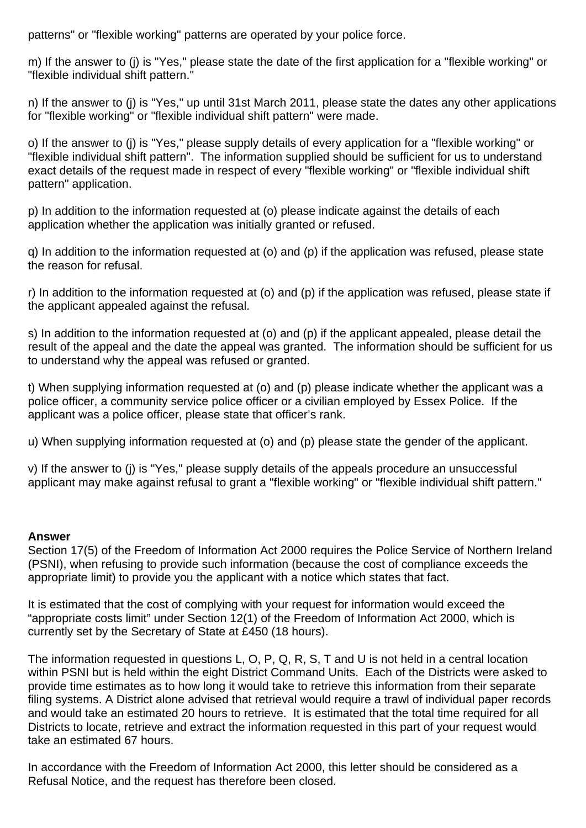patterns" or "flexible working" patterns are operated by your police force.

m) If the answer to (j) is "Yes," please state the date of the first application for a "flexible working" or "flexible individual shift pattern."

n) If the answer to (j) is "Yes," up until 31st March 2011, please state the dates any other applications for "flexible working" or "flexible individual shift pattern" were made.

o) If the answer to (j) is "Yes," please supply details of every application for a "flexible working" or "flexible individual shift pattern". The information supplied should be sufficient for us to understand exact details of the request made in respect of every "flexible working" or "flexible individual shift pattern" application.

p) In addition to the information requested at (o) please indicate against the details of each application whether the application was initially granted or refused.

q) In addition to the information requested at (o) and (p) if the application was refused, please state the reason for refusal.

r) In addition to the information requested at (o) and (p) if the application was refused, please state if the applicant appealed against the refusal.

s) In addition to the information requested at (o) and (p) if the applicant appealed, please detail the result of the appeal and the date the appeal was granted. The information should be sufficient for us to understand why the appeal was refused or granted.

t) When supplying information requested at (o) and (p) please indicate whether the applicant was a police officer, a community service police officer or a civilian employed by Essex Police. If the applicant was a police officer, please state that officer's rank.

u) When supplying information requested at (o) and (p) please state the gender of the applicant.

v) If the answer to (j) is "Yes," please supply details of the appeals procedure an unsuccessful applicant may make against refusal to grant a "flexible working" or "flexible individual shift pattern."

## **Answer**

Section 17(5) of the Freedom of Information Act 2000 requires the Police Service of Northern Ireland (PSNI), when refusing to provide such information (because the cost of compliance exceeds the appropriate limit) to provide you the applicant with a notice which states that fact.

It is estimated that the cost of complying with your request for information would exceed the "appropriate costs limit" under Section 12(1) of the Freedom of Information Act 2000, which is currently set by the Secretary of State at £450 (18 hours).

The information requested in questions L, O, P, Q, R, S, T and U is not held in a central location within PSNI but is held within the eight District Command Units. Each of the Districts were asked to provide time estimates as to how long it would take to retrieve this information from their separate filing systems. A District alone advised that retrieval would require a trawl of individual paper records and would take an estimated 20 hours to retrieve. It is estimated that the total time required for all Districts to locate, retrieve and extract the information requested in this part of your request would take an estimated 67 hours.

In accordance with the Freedom of Information Act 2000, this letter should be considered as a Refusal Notice, and the request has therefore been closed.